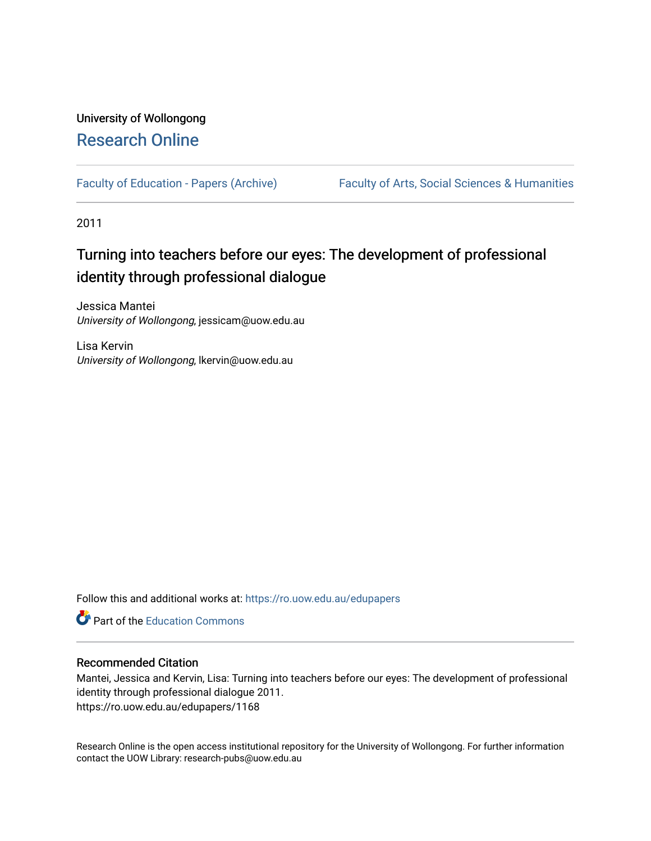# University of Wollongong [Research Online](https://ro.uow.edu.au/)

[Faculty of Education - Papers \(Archive\)](https://ro.uow.edu.au/edupapers) Faculty of Arts, Social Sciences & Humanities

2011

# Turning into teachers before our eyes: The development of professional identity through professional dialogue

Jessica Mantei University of Wollongong, jessicam@uow.edu.au

Lisa Kervin University of Wollongong, lkervin@uow.edu.au

Follow this and additional works at: [https://ro.uow.edu.au/edupapers](https://ro.uow.edu.au/edupapers?utm_source=ro.uow.edu.au%2Fedupapers%2F1168&utm_medium=PDF&utm_campaign=PDFCoverPages) 

**C** Part of the [Education Commons](http://network.bepress.com/hgg/discipline/784?utm_source=ro.uow.edu.au%2Fedupapers%2F1168&utm_medium=PDF&utm_campaign=PDFCoverPages)

## Recommended Citation

Mantei, Jessica and Kervin, Lisa: Turning into teachers before our eyes: The development of professional identity through professional dialogue 2011. https://ro.uow.edu.au/edupapers/1168

Research Online is the open access institutional repository for the University of Wollongong. For further information contact the UOW Library: research-pubs@uow.edu.au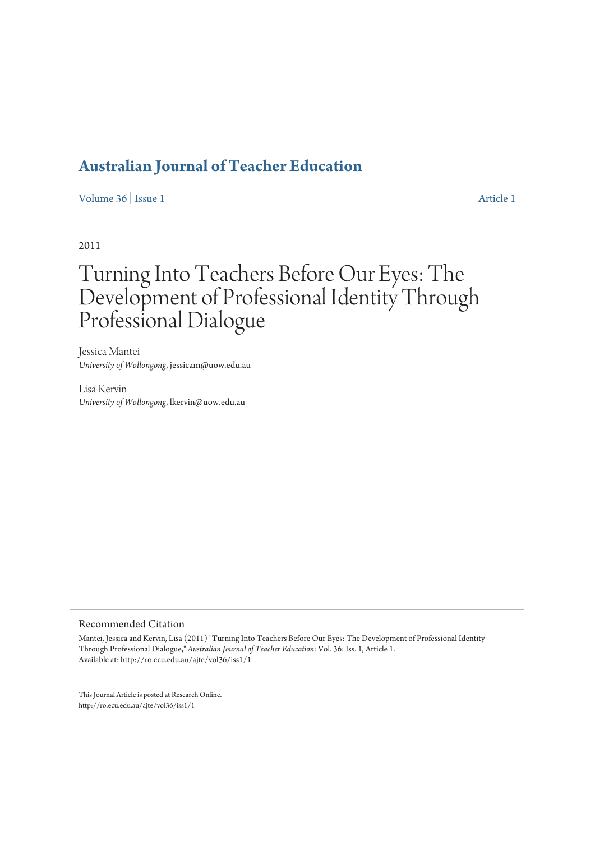Volume 36 | Issue 1

2011

# Turning Into Teachers Before Our Eves: The Development of Professional Identity Through Professional Dialogue

Iessica Mantei *<i><u>Iniversity of Wollongong*</u> iessicam@uow.edu.au

Lisa Kervin University of Wollongong, lkervin@uow.edu.au

# Recommended Citation

Mantei, Jessica and Kervin, Lisa (2011) "Turning Into Teachers Before Our Eves: The Development of Professional Identity Through Professional Dialogue." Australian Journal of Teacher Education: Vol. 36: Iss. 1. Article 1. Available at: http://ro.ecu.edu.au/aite/vol36/iss1/1

This Journal Article is posted at Research Online. http://ro.ecu.edu.au/aite/vol $36$ /iss $1/1$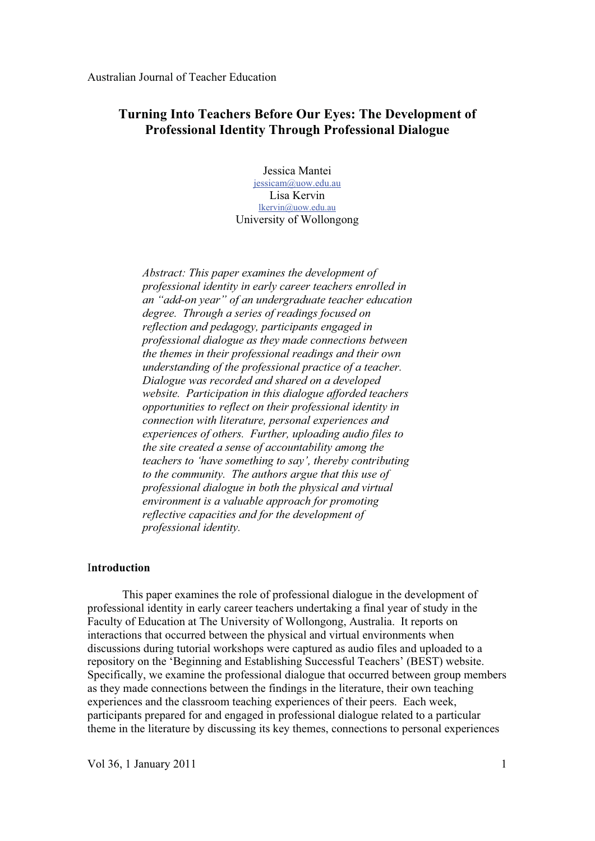# **Turning Into Teachers Before Our Eyes: The Development of Professional Identity Through Professional Dialogue**

Jessica Mantei jessicam@uow.edu.au Lisa Kervin lkervin@uow.edu.au University of Wollongong

*Abstract: This paper examines the development of professional identity in early career teachers enrolled in an "add-on year" of an undergraduate teacher education degree. Through a series of readings focused on reflection and pedagogy, participants engaged in professional dialogue as they made connections between the themes in their professional readings and their own understanding of the professional practice of a teacher. Dialogue was recorded and shared on a developed website. Participation in this dialogue afforded teachers opportunities to reflect on their professional identity in connection with literature, personal experiences and experiences of others. Further, uploading audio files to the site created a sense of accountability among the teachers to 'have something to say', thereby contributing to the community. The authors argue that this use of professional dialogue in both the physical and virtual environment is a valuable approach for promoting reflective capacities and for the development of professional identity.* 

#### I**ntroduction**

This paper examines the role of professional dialogue in the development of professional identity in early career teachers undertaking a final year of study in the Faculty of Education at The University of Wollongong, Australia. It reports on interactions that occurred between the physical and virtual environments when discussions during tutorial workshops were captured as audio files and uploaded to a repository on the 'Beginning and Establishing Successful Teachers' (BEST) website. Specifically, we examine the professional dialogue that occurred between group members as they made connections between the findings in the literature, their own teaching experiences and the classroom teaching experiences of their peers. Each week, participants prepared for and engaged in professional dialogue related to a particular theme in the literature by discussing its key themes, connections to personal experiences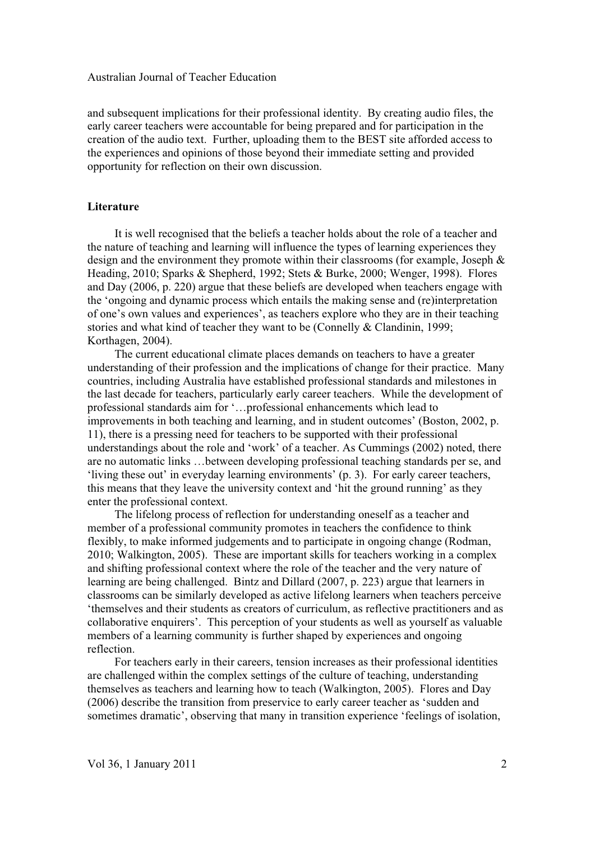and subsequent implications for their professional identity. By creating audio files, the early career teachers were accountable for being prepared and for participation in the creation of the audio text. Further, uploading them to the BEST site afforded access to the experiences and opinions of those beyond their immediate setting and provided opportunity for reflection on their own discussion.

#### **Literature**

 It is well recognised that the beliefs a teacher holds about the role of a teacher and the nature of teaching and learning will influence the types of learning experiences they design and the environment they promote within their classrooms (for example, Joseph & Heading, 2010; Sparks & Shepherd, 1992; Stets & Burke, 2000; Wenger, 1998). Flores and Day (2006, p. 220) argue that these beliefs are developed when teachers engage with the 'ongoing and dynamic process which entails the making sense and (re)interpretation of one's own values and experiences', as teachers explore who they are in their teaching stories and what kind of teacher they want to be (Connelly & Clandinin, 1999; Korthagen, 2004).

 The current educational climate places demands on teachers to have a greater understanding of their profession and the implications of change for their practice. Many countries, including Australia have established professional standards and milestones in the last decade for teachers, particularly early career teachers. While the development of professional standards aim for '…professional enhancements which lead to improvements in both teaching and learning, and in student outcomes' (Boston, 2002, p. 11), there is a pressing need for teachers to be supported with their professional understandings about the role and 'work' of a teacher. As Cummings (2002) noted, there are no automatic links …between developing professional teaching standards per se, and 'living these out' in everyday learning environments' (p. 3). For early career teachers, this means that they leave the university context and 'hit the ground running' as they enter the professional context.

 The lifelong process of reflection for understanding oneself as a teacher and member of a professional community promotes in teachers the confidence to think flexibly, to make informed judgements and to participate in ongoing change (Rodman, 2010; Walkington, 2005). These are important skills for teachers working in a complex and shifting professional context where the role of the teacher and the very nature of learning are being challenged. Bintz and Dillard (2007, p. 223) argue that learners in classrooms can be similarly developed as active lifelong learners when teachers perceive 'themselves and their students as creators of curriculum, as reflective practitioners and as collaborative enquirers'. This perception of your students as well as yourself as valuable members of a learning community is further shaped by experiences and ongoing reflection.

 For teachers early in their careers, tension increases as their professional identities are challenged within the complex settings of the culture of teaching, understanding themselves as teachers and learning how to teach (Walkington, 2005). Flores and Day (2006) describe the transition from preservice to early career teacher as 'sudden and sometimes dramatic', observing that many in transition experience 'feelings of isolation,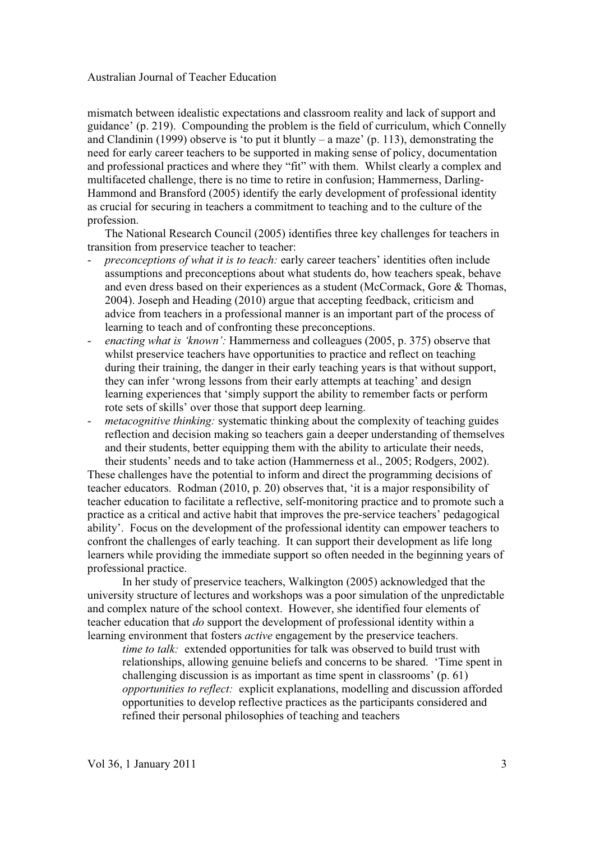mismatch between idealistic expectations and classroom reality and lack of support and guidance' (p. 219). Compounding the problem is the field of curriculum, which Connelly and Clandinin (1999) observe is 'to put it bluntly – a maze' (p. 113), demonstrating the need for early career teachers to be supported in making sense of policy, documentation and professional practices and where they "fit" with them. Whilst clearly a complex and multifaceted challenge, there is no time to retire in confusion; Hammerness, Darling-Hammond and Bransford (2005) identify the early development of professional identity as crucial for securing in teachers a commitment to teaching and to the culture of the profession.

The National Research Council (2005) identifies three key challenges for teachers in transition from preservice teacher to teacher:

- *preconceptions of what it is to teach:* early career teachers' identities often include assumptions and preconceptions about what students do, how teachers speak, behave and even dress based on their experiences as a student (McCormack, Gore & Thomas, 2004). Joseph and Heading (2010) argue that accepting feedback, criticism and advice from teachers in a professional manner is an important part of the process of learning to teach and of confronting these preconceptions.
- *enacting what is 'known':* Hammerness and colleagues (2005, p. 375) observe that whilst preservice teachers have opportunities to practice and reflect on teaching during their training, the danger in their early teaching years is that without support, they can infer 'wrong lessons from their early attempts at teaching' and design learning experiences that 'simply support the ability to remember facts or perform rote sets of skills' over those that support deep learning.
- *metacognitive thinking:* systematic thinking about the complexity of teaching guides reflection and decision making so teachers gain a deeper understanding of themselves and their students, better equipping them with the ability to articulate their needs, their students' needs and to take action (Hammerness et al., 2005; Rodgers, 2002).

These challenges have the potential to inform and direct the programming decisions of teacher educators. Rodman (2010, p. 20) observes that, 'it is a major responsibility of teacher education to facilitate a reflective, self-monitoring practice and to promote such a practice as a critical and active habit that improves the pre-service teachers' pedagogical ability'. Focus on the development of the professional identity can empower teachers to confront the challenges of early teaching. It can support their development as life long learners while providing the immediate support so often needed in the beginning years of professional practice.

In her study of preservice teachers, Walkington (2005) acknowledged that the university structure of lectures and workshops was a poor simulation of the unpredictable and complex nature of the school context. However, she identified four elements of teacher education that *do* support the development of professional identity within a learning environment that fosters *active* engagement by the preservice teachers.

*time to talk:* extended opportunities for talk was observed to build trust with relationships, allowing genuine beliefs and concerns to be shared. 'Time spent in challenging discussion is as important as time spent in classrooms' (p. 61) *opportunities to reflect:* explicit explanations, modelling and discussion afforded opportunities to develop reflective practices as the participants considered and refined their personal philosophies of teaching and teachers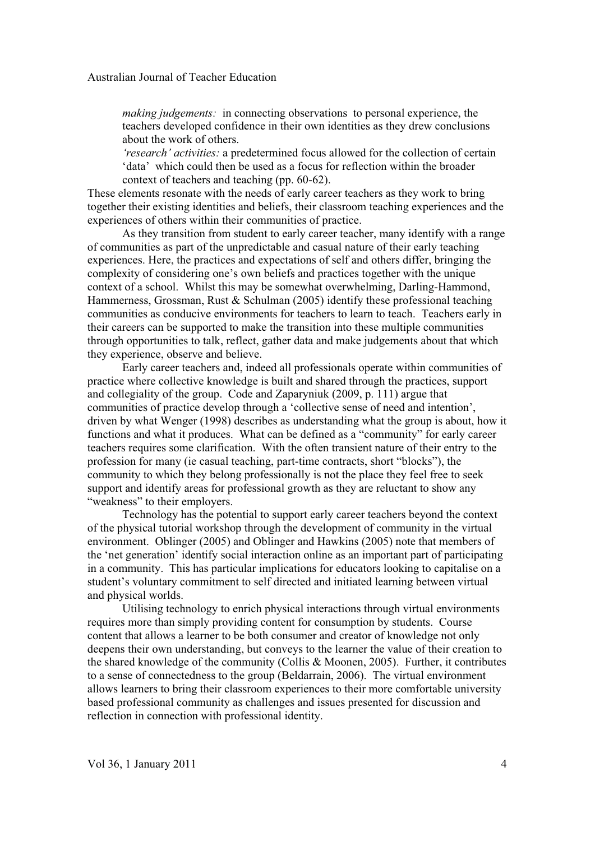*making judgements:* in connecting observations to personal experience, the teachers developed confidence in their own identities as they drew conclusions about the work of others.

*'research' activities:* a predetermined focus allowed for the collection of certain 'data' which could then be used as a focus for reflection within the broader context of teachers and teaching (pp. 60-62).

These elements resonate with the needs of early career teachers as they work to bring together their existing identities and beliefs, their classroom teaching experiences and the experiences of others within their communities of practice.

As they transition from student to early career teacher, many identify with a range of communities as part of the unpredictable and casual nature of their early teaching experiences. Here, the practices and expectations of self and others differ, bringing the complexity of considering one's own beliefs and practices together with the unique context of a school. Whilst this may be somewhat overwhelming, Darling-Hammond, Hammerness, Grossman, Rust & Schulman (2005) identify these professional teaching communities as conducive environments for teachers to learn to teach. Teachers early in their careers can be supported to make the transition into these multiple communities through opportunities to talk, reflect, gather data and make judgements about that which they experience, observe and believe.

Early career teachers and, indeed all professionals operate within communities of practice where collective knowledge is built and shared through the practices, support and collegiality of the group. Code and Zaparyniuk (2009, p. 111) argue that communities of practice develop through a 'collective sense of need and intention', driven by what Wenger (1998) describes as understanding what the group is about, how it functions and what it produces. What can be defined as a "community" for early career teachers requires some clarification. With the often transient nature of their entry to the profession for many (ie casual teaching, part-time contracts, short "blocks"), the community to which they belong professionally is not the place they feel free to seek support and identify areas for professional growth as they are reluctant to show any "weakness" to their employers.

Technology has the potential to support early career teachers beyond the context of the physical tutorial workshop through the development of community in the virtual environment. Oblinger (2005) and Oblinger and Hawkins (2005) note that members of the 'net generation' identify social interaction online as an important part of participating in a community. This has particular implications for educators looking to capitalise on a student's voluntary commitment to self directed and initiated learning between virtual and physical worlds.

Utilising technology to enrich physical interactions through virtual environments requires more than simply providing content for consumption by students. Course content that allows a learner to be both consumer and creator of knowledge not only deepens their own understanding, but conveys to the learner the value of their creation to the shared knowledge of the community (Collis & Moonen, 2005). Further, it contributes to a sense of connectedness to the group (Beldarrain, 2006). The virtual environment allows learners to bring their classroom experiences to their more comfortable university based professional community as challenges and issues presented for discussion and reflection in connection with professional identity.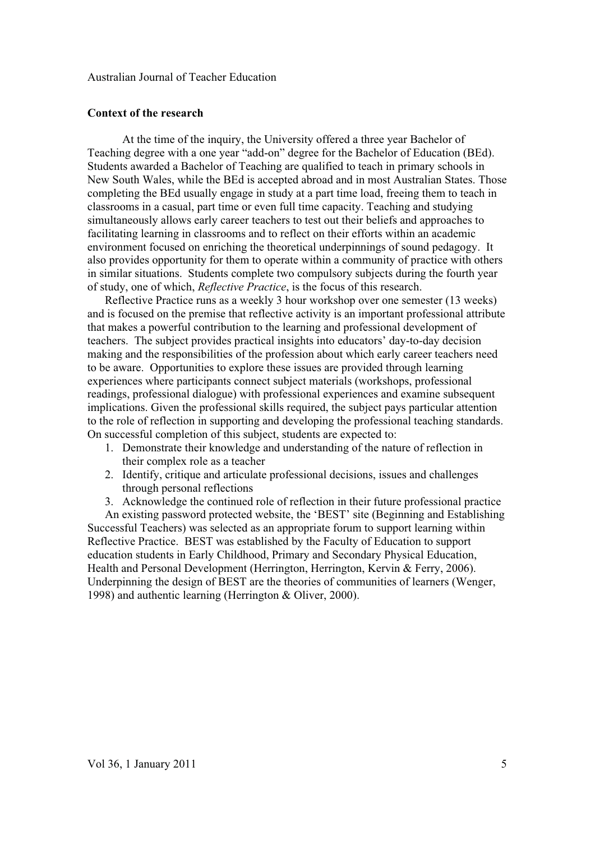#### **Context of the research**

At the time of the inquiry, the University offered a three year Bachelor of Teaching degree with a one year "add-on" degree for the Bachelor of Education (BEd). Students awarded a Bachelor of Teaching are qualified to teach in primary schools in New South Wales, while the BEd is accepted abroad and in most Australian States. Those completing the BEd usually engage in study at a part time load, freeing them to teach in classrooms in a casual, part time or even full time capacity. Teaching and studying simultaneously allows early career teachers to test out their beliefs and approaches to facilitating learning in classrooms and to reflect on their efforts within an academic environment focused on enriching the theoretical underpinnings of sound pedagogy. It also provides opportunity for them to operate within a community of practice with others in similar situations. Students complete two compulsory subjects during the fourth year of study, one of which, *Reflective Practice*, is the focus of this research.

Reflective Practice runs as a weekly 3 hour workshop over one semester (13 weeks) and is focused on the premise that reflective activity is an important professional attribute that makes a powerful contribution to the learning and professional development of teachers. The subject provides practical insights into educators' day-to-day decision making and the responsibilities of the profession about which early career teachers need to be aware. Opportunities to explore these issues are provided through learning experiences where participants connect subject materials (workshops, professional readings, professional dialogue) with professional experiences and examine subsequent implications. Given the professional skills required, the subject pays particular attention to the role of reflection in supporting and developing the professional teaching standards. On successful completion of this subject, students are expected to:

- 1. Demonstrate their knowledge and understanding of the nature of reflection in their complex role as a teacher
- 2. Identify, critique and articulate professional decisions, issues and challenges through personal reflections
- 3. Acknowledge the continued role of reflection in their future professional practice

An existing password protected website, the 'BEST' site (Beginning and Establishing Successful Teachers) was selected as an appropriate forum to support learning within Reflective Practice. BEST was established by the Faculty of Education to support education students in Early Childhood, Primary and Secondary Physical Education, Health and Personal Development (Herrington, Herrington, Kervin & Ferry, 2006). Underpinning the design of BEST are the theories of communities of learners (Wenger, 1998) and authentic learning (Herrington & Oliver, 2000).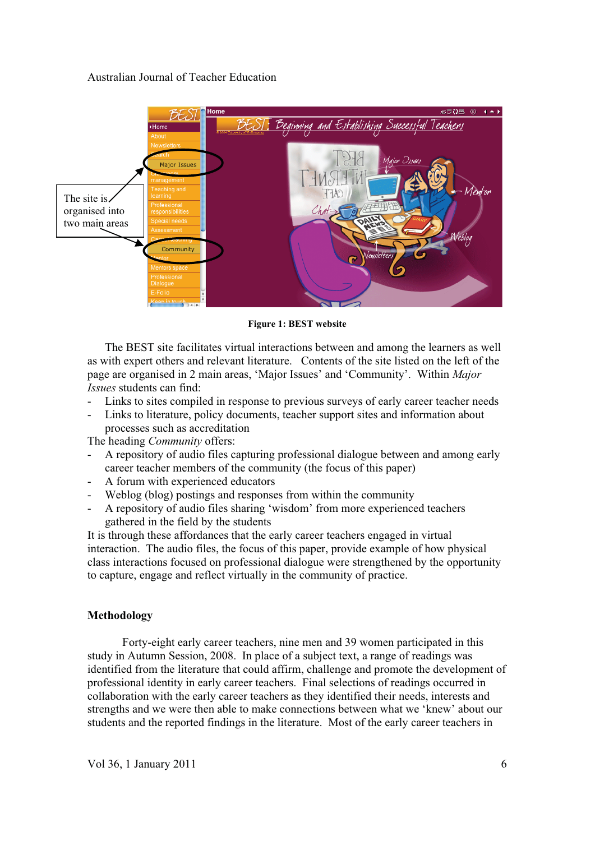

**Figure 1: BEST website** 

The BEST site facilitates virtual interactions between and among the learners as well as with expert others and relevant literature. Contents of the site listed on the left of the page are organised in 2 main areas, 'Major Issues' and 'Community'. Within *Major Issues* students can find:

- Links to sites compiled in response to previous surveys of early career teacher needs
- Links to literature, policy documents, teacher support sites and information about processes such as accreditation

The heading *Community* offers:

- A repository of audio files capturing professional dialogue between and among early career teacher members of the community (the focus of this paper)
- A forum with experienced educators
- Weblog (blog) postings and responses from within the community
- A repository of audio files sharing 'wisdom' from more experienced teachers gathered in the field by the students

It is through these affordances that the early career teachers engaged in virtual interaction. The audio files, the focus of this paper, provide example of how physical class interactions focused on professional dialogue were strengthened by the opportunity to capture, engage and reflect virtually in the community of practice.

# **Methodology**

Forty-eight early career teachers, nine men and 39 women participated in this study in Autumn Session, 2008. In place of a subject text, a range of readings was identified from the literature that could affirm, challenge and promote the development of professional identity in early career teachers. Final selections of readings occurred in collaboration with the early career teachers as they identified their needs, interests and strengths and we were then able to make connections between what we 'knew' about our students and the reported findings in the literature. Most of the early career teachers in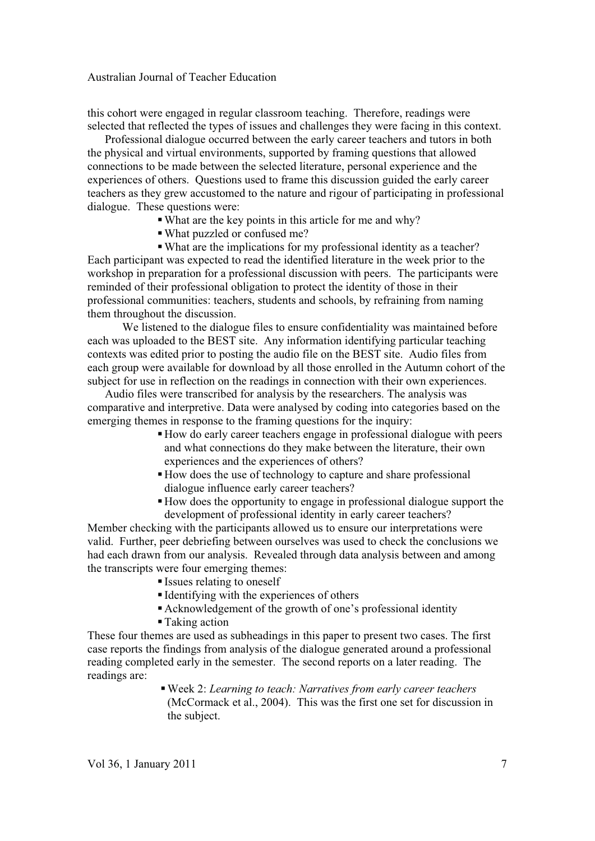this cohort were engaged in regular classroom teaching. Therefore, readings were selected that reflected the types of issues and challenges they were facing in this context.

Professional dialogue occurred between the early career teachers and tutors in both the physical and virtual environments, supported by framing questions that allowed connections to be made between the selected literature, personal experience and the experiences of others. Questions used to frame this discussion guided the early career teachers as they grew accustomed to the nature and rigour of participating in professional dialogue. These questions were:

- -What are the key points in this article for me and why?
- -What puzzled or confused me?

-What are the implications for my professional identity as a teacher? Each participant was expected to read the identified literature in the week prior to the workshop in preparation for a professional discussion with peers. The participants were reminded of their professional obligation to protect the identity of those in their professional communities: teachers, students and schools, by refraining from naming them throughout the discussion.

We listened to the dialogue files to ensure confidentiality was maintained before each was uploaded to the BEST site. Any information identifying particular teaching contexts was edited prior to posting the audio file on the BEST site. Audio files from each group were available for download by all those enrolled in the Autumn cohort of the subject for use in reflection on the readings in connection with their own experiences.

Audio files were transcribed for analysis by the researchers. The analysis was comparative and interpretive. Data were analysed by coding into categories based on the emerging themes in response to the framing questions for the inquiry:

- -How do early career teachers engage in professional dialogue with peers and what connections do they make between the literature, their own experiences and the experiences of others?
- -How does the use of technology to capture and share professional dialogue influence early career teachers?
- -How does the opportunity to engage in professional dialogue support the development of professional identity in early career teachers?

Member checking with the participants allowed us to ensure our interpretations were valid. Further, peer debriefing between ourselves was used to check the conclusions we had each drawn from our analysis. Revealed through data analysis between and among the transcripts were four emerging themes:

- Issues relating to oneself
- Identifying with the experiences of others
- -Acknowledgement of the growth of one's professional identity
- -Taking action

These four themes are used as subheadings in this paper to present two cases. The first case reports the findings from analysis of the dialogue generated around a professional reading completed early in the semester. The second reports on a later reading. The readings are:

-Week 2: *Learning to teach: Narratives from early career teachers*  (McCormack et al., 2004). This was the first one set for discussion in the subject.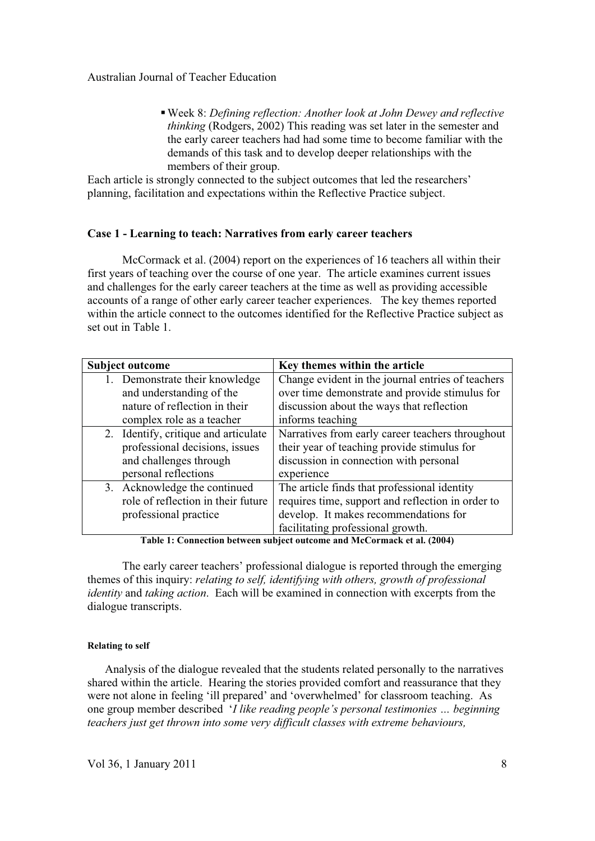-Week 8: *Defining reflection: Another look at John Dewey and reflective thinking* (Rodgers, 2002) This reading was set later in the semester and the early career teachers had had some time to become familiar with the demands of this task and to develop deeper relationships with the members of their group.

Each article is strongly connected to the subject outcomes that led the researchers' planning, facilitation and expectations within the Reflective Practice subject.

# **Case 1 - Learning to teach: Narratives from early career teachers**

McCormack et al. (2004) report on the experiences of 16 teachers all within their first years of teaching over the course of one year. The article examines current issues and challenges for the early career teachers at the time as well as providing accessible accounts of a range of other early career teacher experiences. The key themes reported within the article connect to the outcomes identified for the Reflective Practice subject as set out in Table 1.

| <b>Subject outcome</b> |                                      | Key themes within the article                     |
|------------------------|--------------------------------------|---------------------------------------------------|
|                        | 1. Demonstrate their knowledge       | Change evident in the journal entries of teachers |
|                        | and understanding of the             | over time demonstrate and provide stimulus for    |
|                        | nature of reflection in their        | discussion about the ways that reflection         |
|                        | complex role as a teacher            | informs teaching                                  |
|                        | 2. Identify, critique and articulate | Narratives from early career teachers throughout  |
|                        | professional decisions, issues       | their year of teaching provide stimulus for       |
|                        | and challenges through               | discussion in connection with personal            |
|                        | personal reflections                 | experience                                        |
|                        | 3. Acknowledge the continued         | The article finds that professional identity      |
|                        | role of reflection in their future   | requires time, support and reflection in order to |
|                        | professional practice                | develop. It makes recommendations for             |
|                        |                                      | facilitating professional growth.                 |

**Table 1: Connection between subject outcome and McCormack et al. (2004)** 

The early career teachers' professional dialogue is reported through the emerging themes of this inquiry: *relating to self, identifying with others, growth of professional identity* and *taking action*. Each will be examined in connection with excerpts from the dialogue transcripts.

#### **Relating to self**

Analysis of the dialogue revealed that the students related personally to the narratives shared within the article. Hearing the stories provided comfort and reassurance that they were not alone in feeling 'ill prepared' and 'overwhelmed' for classroom teaching. As one group member described '*I like reading people's personal testimonies … beginning teachers just get thrown into some very difficult classes with extreme behaviours,*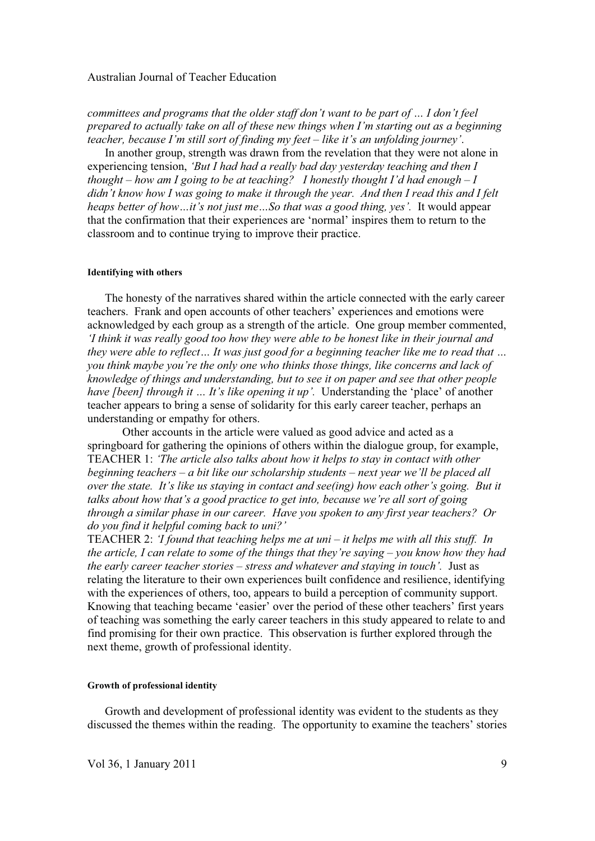*committees and programs that the older staff don't want to be part of … I don't feel prepared to actually take on all of these new things when I'm starting out as a beginning teacher, because I'm still sort of finding my feet – like it's an unfolding journey'*.

In another group, strength was drawn from the revelation that they were not alone in experiencing tension, *'But I had had a really bad day yesterday teaching and then I thought – how am I going to be at teaching? I honestly thought I'd had enough – I didn't know how I was going to make it through the year. And then I read this and I felt heaps better of how…it's not just me…So that was a good thing, yes'.* It would appear that the confirmation that their experiences are 'normal' inspires them to return to the classroom and to continue trying to improve their practice.

#### **Identifying with others**

The honesty of the narratives shared within the article connected with the early career teachers. Frank and open accounts of other teachers' experiences and emotions were acknowledged by each group as a strength of the article. One group member commented, *'I think it was really good too how they were able to be honest like in their journal and they were able to reflect… It was just good for a beginning teacher like me to read that … you think maybe you're the only one who thinks those things, like concerns and lack of knowledge of things and understanding, but to see it on paper and see that other people have [been] through it … It's like opening it up'.* Understanding the 'place' of another teacher appears to bring a sense of solidarity for this early career teacher, perhaps an understanding or empathy for others.

Other accounts in the article were valued as good advice and acted as a springboard for gathering the opinions of others within the dialogue group, for example, TEACHER 1: *'The article also talks about how it helps to stay in contact with other beginning teachers – a bit like our scholarship students – next year we'll be placed all over the state. It's like us staying in contact and see(ing) how each other's going. But it talks about how that's a good practice to get into, because we're all sort of going through a similar phase in our career. Have you spoken to any first year teachers? Or do you find it helpful coming back to uni?'* 

TEACHER 2: *'I found that teaching helps me at uni – it helps me with all this stuff. In the article, I can relate to some of the things that they're saying – you know how they had the early career teacher stories – stress and whatever and staying in touch'.* Just as relating the literature to their own experiences built confidence and resilience, identifying with the experiences of others, too, appears to build a perception of community support. Knowing that teaching became 'easier' over the period of these other teachers' first years of teaching was something the early career teachers in this study appeared to relate to and find promising for their own practice. This observation is further explored through the next theme, growth of professional identity.

#### **Growth of professional identity**

Growth and development of professional identity was evident to the students as they discussed the themes within the reading. The opportunity to examine the teachers' stories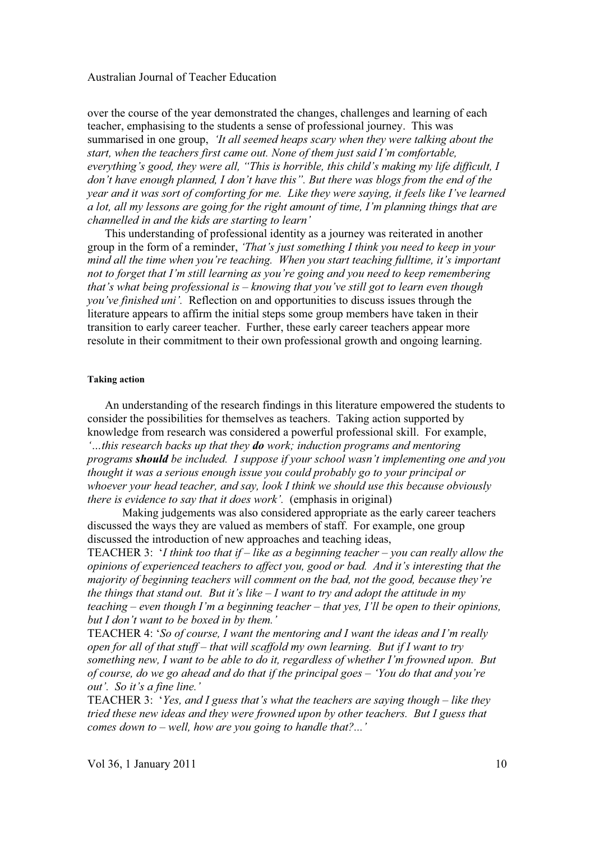over the course of the year demonstrated the changes, challenges and learning of each teacher, emphasising to the students a sense of professional journey. This was summarised in one group, *'It all seemed heaps scary when they were talking about the start, when the teachers first came out. None of them just said I'm comfortable, everything's good, they were all, "This is horrible, this child's making my life difficult, I don't have enough planned, I don't have this". But there was blogs from the end of the year and it was sort of comforting for me. Like they were saying, it feels like I've learned a lot, all my lessons are going for the right amount of time, I'm planning things that are channelled in and the kids are starting to learn'* 

This understanding of professional identity as a journey was reiterated in another group in the form of a reminder, *'That's just something I think you need to keep in your mind all the time when you're teaching. When you start teaching fulltime, it's important not to forget that I'm still learning as you're going and you need to keep remembering that's what being professional is – knowing that you've still got to learn even though you've finished uni'.* Reflection on and opportunities to discuss issues through the literature appears to affirm the initial steps some group members have taken in their transition to early career teacher. Further, these early career teachers appear more resolute in their commitment to their own professional growth and ongoing learning.

#### **Taking action**

An understanding of the research findings in this literature empowered the students to consider the possibilities for themselves as teachers. Taking action supported by knowledge from research was considered a powerful professional skill. For example, *'…this research backs up that they do work; induction programs and mentoring programs should be included. I suppose if your school wasn't implementing one and you thought it was a serious enough issue you could probably go to your principal or whoever your head teacher, and say, look I think we should use this because obviously there is evidence to say that it does work'.* (emphasis in original)

Making judgements was also considered appropriate as the early career teachers discussed the ways they are valued as members of staff. For example, one group discussed the introduction of new approaches and teaching ideas,

TEACHER 3: '*I think too that if – like as a beginning teacher – you can really allow the opinions of experienced teachers to affect you, good or bad. And it's interesting that the majority of beginning teachers will comment on the bad, not the good, because they're the things that stand out. But it's like – I want to try and adopt the attitude in my teaching – even though I'm a beginning teacher – that yes, I'll be open to their opinions, but I don't want to be boxed in by them.'* 

TEACHER 4: '*So of course, I want the mentoring and I want the ideas and I'm really open for all of that stuff – that will scaffold my own learning. But if I want to try something new, I want to be able to do it, regardless of whether I'm frowned upon. But of course, do we go ahead and do that if the principal goes – 'You do that and you're out'. So it's a fine line.'*

TEACHER 3: '*Yes, and I guess that's what the teachers are saying though – like they tried these new ideas and they were frowned upon by other teachers. But I guess that comes down to – well, how are you going to handle that?...'*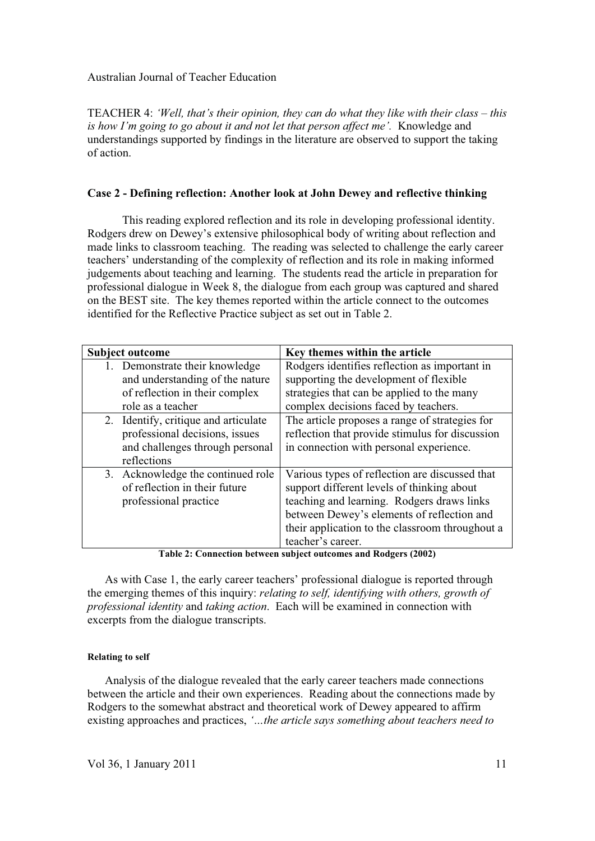TEACHER 4: *'Well, that's their opinion, they can do what they like with their class – this is how I'm going to go about it and not let that person affect me'.* Knowledge and understandings supported by findings in the literature are observed to support the taking of action.

## **Case 2 - Defining reflection: Another look at John Dewey and reflective thinking**

This reading explored reflection and its role in developing professional identity. Rodgers drew on Dewey's extensive philosophical body of writing about reflection and made links to classroom teaching. The reading was selected to challenge the early career teachers' understanding of the complexity of reflection and its role in making informed judgements about teaching and learning. The students read the article in preparation for professional dialogue in Week 8, the dialogue from each group was captured and shared on the BEST site. The key themes reported within the article connect to the outcomes identified for the Reflective Practice subject as set out in Table 2.

| <b>Subject outcome</b> |                                      | Key themes within the article                   |
|------------------------|--------------------------------------|-------------------------------------------------|
|                        | 1. Demonstrate their knowledge       | Rodgers identifies reflection as important in   |
|                        | and understanding of the nature      | supporting the development of flexible          |
|                        | of reflection in their complex       | strategies that can be applied to the many      |
|                        | role as a teacher                    | complex decisions faced by teachers.            |
|                        | 2. Identify, critique and articulate | The article proposes a range of strategies for  |
|                        | professional decisions, issues       | reflection that provide stimulus for discussion |
|                        | and challenges through personal      | in connection with personal experience.         |
|                        | reflections                          |                                                 |
|                        | 3. Acknowledge the continued role    | Various types of reflection are discussed that  |
|                        | of reflection in their future        | support different levels of thinking about      |
|                        | professional practice                | teaching and learning. Rodgers draws links      |
|                        |                                      | between Dewey's elements of reflection and      |
|                        |                                      | their application to the classroom throughout a |
|                        |                                      | teacher's career.                               |

**Table 2: Connection between subject outcomes and Rodgers (2002)** 

As with Case 1, the early career teachers' professional dialogue is reported through the emerging themes of this inquiry: *relating to self, identifying with others, growth of professional identity* and *taking action*. Each will be examined in connection with excerpts from the dialogue transcripts.

#### **Relating to self**

Analysis of the dialogue revealed that the early career teachers made connections between the article and their own experiences. Reading about the connections made by Rodgers to the somewhat abstract and theoretical work of Dewey appeared to affirm existing approaches and practices, *'…the article says something about teachers need to*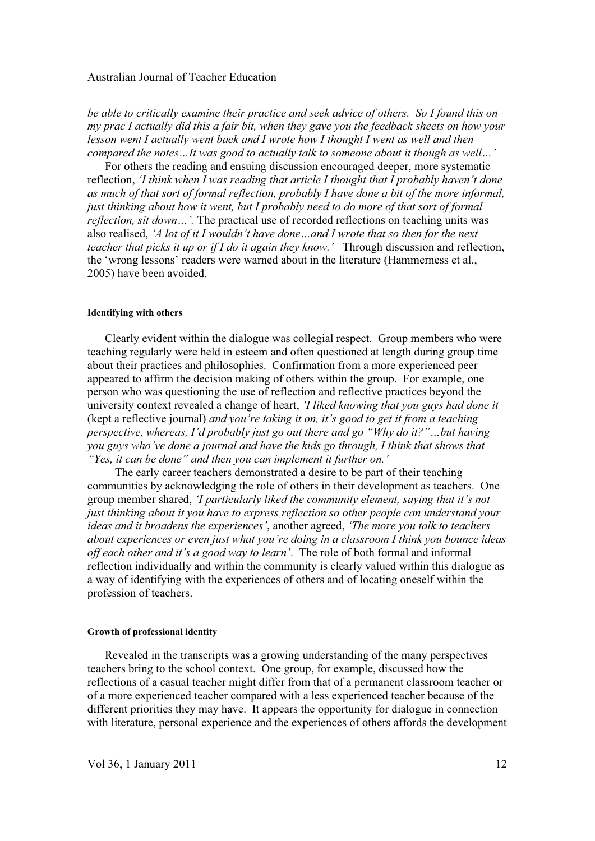*be able to critically examine their practice and seek advice of others. So I found this on my prac I actually did this a fair bit, when they gave you the feedback sheets on how your lesson went I actually went back and I wrote how I thought I went as well and then compared the notes…It was good to actually talk to someone about it though as well…'*

For others the reading and ensuing discussion encouraged deeper, more systematic reflection, *'I think when I was reading that article I thought that I probably haven't done as much of that sort of formal reflection, probably I have done a bit of the more informal, just thinking about how it went, but I probably need to do more of that sort of formal reflection, sit down…'.* The practical use of recorded reflections on teaching units was also realised, *'A lot of it I wouldn't have done…and I wrote that so then for the next teacher that picks it up or if I do it again they know.'* Through discussion and reflection, the 'wrong lessons' readers were warned about in the literature (Hammerness et al., 2005) have been avoided.

#### **Identifying with others**

Clearly evident within the dialogue was collegial respect. Group members who were teaching regularly were held in esteem and often questioned at length during group time about their practices and philosophies. Confirmation from a more experienced peer appeared to affirm the decision making of others within the group. For example, one person who was questioning the use of reflection and reflective practices beyond the university context revealed a change of heart, *'I liked knowing that you guys had done it*  (kept a reflective journal) *and you're taking it on, it's good to get it from a teaching perspective, whereas, I'd probably just go out there and go "Why do it?"…but having you guys who've done a journal and have the kids go through, I think that shows that "Yes, it can be done" and then you can implement it further on.'*

The early career teachers demonstrated a desire to be part of their teaching communities by acknowledging the role of others in their development as teachers. One group member shared, *'I particularly liked the community element, saying that it's not just thinking about it you have to express reflection so other people can understand your ideas and it broadens the experiences'*, another agreed, *'The more you talk to teachers about experiences or even just what you're doing in a classroom I think you bounce ideas off each other and it's a good way to learn'*. The role of both formal and informal reflection individually and within the community is clearly valued within this dialogue as a way of identifying with the experiences of others and of locating oneself within the profession of teachers.

#### **Growth of professional identity**

Revealed in the transcripts was a growing understanding of the many perspectives teachers bring to the school context. One group, for example, discussed how the reflections of a casual teacher might differ from that of a permanent classroom teacher or of a more experienced teacher compared with a less experienced teacher because of the different priorities they may have. It appears the opportunity for dialogue in connection with literature, personal experience and the experiences of others affords the development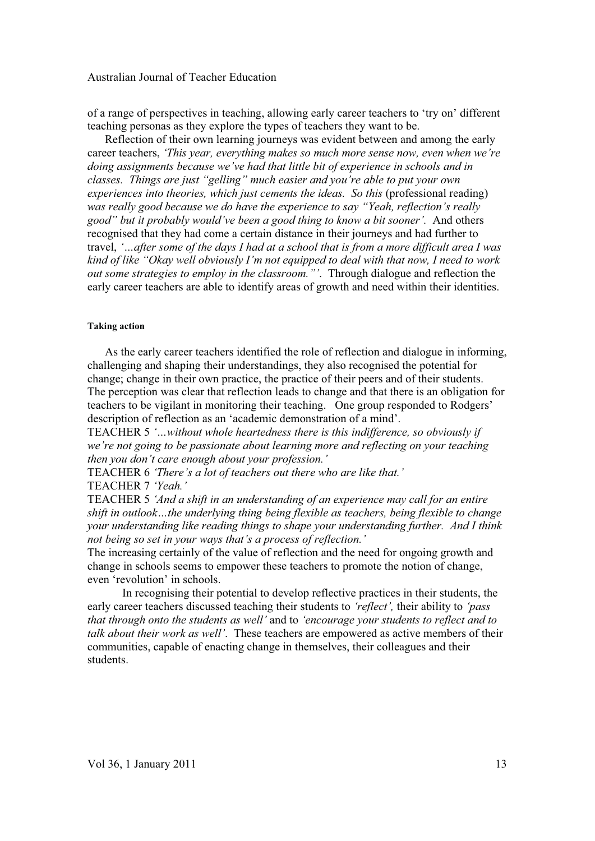of a range of perspectives in teaching, allowing early career teachers to 'try on' different teaching personas as they explore the types of teachers they want to be.

Reflection of their own learning journeys was evident between and among the early career teachers, *'This year, everything makes so much more sense now, even when we're doing assignments because we've had that little bit of experience in schools and in classes. Things are just "gelling" much easier and you're able to put your own experiences into theories, which just cements the ideas. So this (professional reading) was really good because we do have the experience to say "Yeah, reflection's really good" but it probably would've been a good thing to know a bit sooner'.* And others recognised that they had come a certain distance in their journeys and had further to travel, *'…after some of the days I had at a school that is from a more difficult area I was kind of like "Okay well obviously I'm not equipped to deal with that now, I need to work out some strategies to employ in the classroom."'*. Through dialogue and reflection the early career teachers are able to identify areas of growth and need within their identities.

#### **Taking action**

As the early career teachers identified the role of reflection and dialogue in informing, challenging and shaping their understandings, they also recognised the potential for change; change in their own practice, the practice of their peers and of their students. The perception was clear that reflection leads to change and that there is an obligation for teachers to be vigilant in monitoring their teaching. One group responded to Rodgers' description of reflection as an 'academic demonstration of a mind'.

TEACHER 5 *'…without whole heartedness there is this indifference, so obviously if we're not going to be passionate about learning more and reflecting on your teaching then you don't care enough about your profession.'* 

TEACHER 6 *'There's a lot of teachers out there who are like that.'*  TEACHER 7 *'Yeah.'* 

TEACHER 5 *'And a shift in an understanding of an experience may call for an entire shift in outlook…the underlying thing being flexible as teachers, being flexible to change your understanding like reading things to shape your understanding further. And I think not being so set in your ways that's a process of reflection.'*

The increasing certainly of the value of reflection and the need for ongoing growth and change in schools seems to empower these teachers to promote the notion of change, even 'revolution' in schools.

In recognising their potential to develop reflective practices in their students, the early career teachers discussed teaching their students to *'reflect',* their ability to *'pass that through onto the students as well'* and to *'encourage your students to reflect and to talk about their work as well'*. These teachers are empowered as active members of their communities, capable of enacting change in themselves, their colleagues and their students.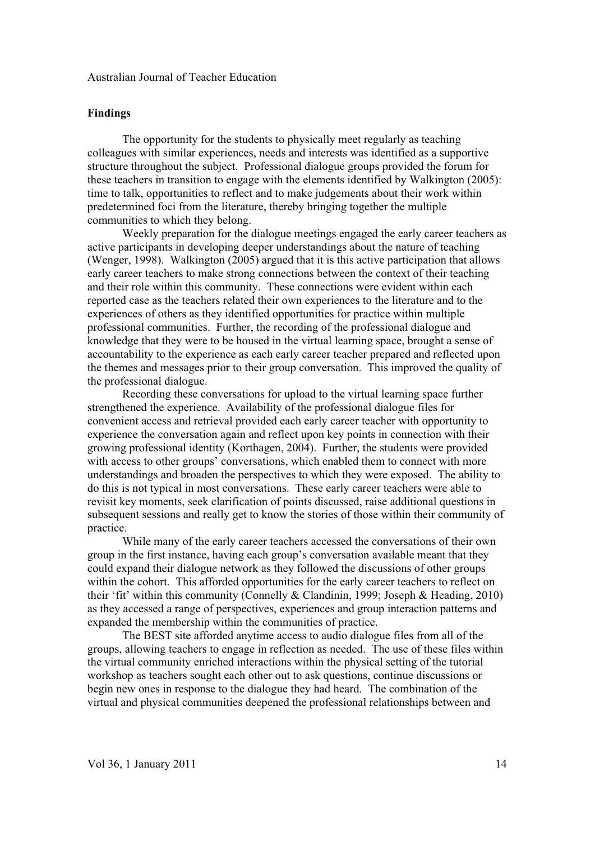#### **Findings**

The opportunity for the students to physically meet regularly as teaching colleagues with similar experiences, needs and interests was identified as a supportive structure throughout the subject. Professional dialogue groups provided the forum for these teachers in transition to engage with the elements identified by Walkington (2005): time to talk, opportunities to reflect and to make judgements about their work within predetermined foci from the literature, thereby bringing together the multiple communities to which they belong.

Weekly preparation for the dialogue meetings engaged the early career teachers as active participants in developing deeper understandings about the nature of teaching (Wenger, 1998). Walkington (2005) argued that it is this active participation that allows early career teachers to make strong connections between the context of their teaching and their role within this community. These connections were evident within each reported case as the teachers related their own experiences to the literature and to the experiences of others as they identified opportunities for practice within multiple professional communities. Further, the recording of the professional dialogue and knowledge that they were to be housed in the virtual learning space, brought a sense of accountability to the experience as each early career teacher prepared and reflected upon the themes and messages prior to their group conversation. This improved the quality of the professional dialogue.

Recording these conversations for upload to the virtual learning space further strengthened the experience. Availability of the professional dialogue files for convenient access and retrieval provided each early career teacher with opportunity to experience the conversation again and reflect upon key points in connection with their growing professional identity (Korthagen, 2004). Further, the students were provided with access to other groups' conversations, which enabled them to connect with more understandings and broaden the perspectives to which they were exposed. The ability to do this is not typical in most conversations. These early career teachers were able to revisit key moments, seek clarification of points discussed, raise additional questions in subsequent sessions and really get to know the stories of those within their community of practice.

While many of the early career teachers accessed the conversations of their own group in the first instance, having each group's conversation available meant that they could expand their dialogue network as they followed the discussions of other groups within the cohort. This afforded opportunities for the early career teachers to reflect on their 'fit' within this community (Connelly & Clandinin, 1999; Joseph & Heading, 2010) as they accessed a range of perspectives, experiences and group interaction patterns and expanded the membership within the communities of practice.

The BEST site afforded anytime access to audio dialogue files from all of the groups, allowing teachers to engage in reflection as needed. The use of these files within the virtual community enriched interactions within the physical setting of the tutorial workshop as teachers sought each other out to ask questions, continue discussions or begin new ones in response to the dialogue they had heard. The combination of the virtual and physical communities deepened the professional relationships between and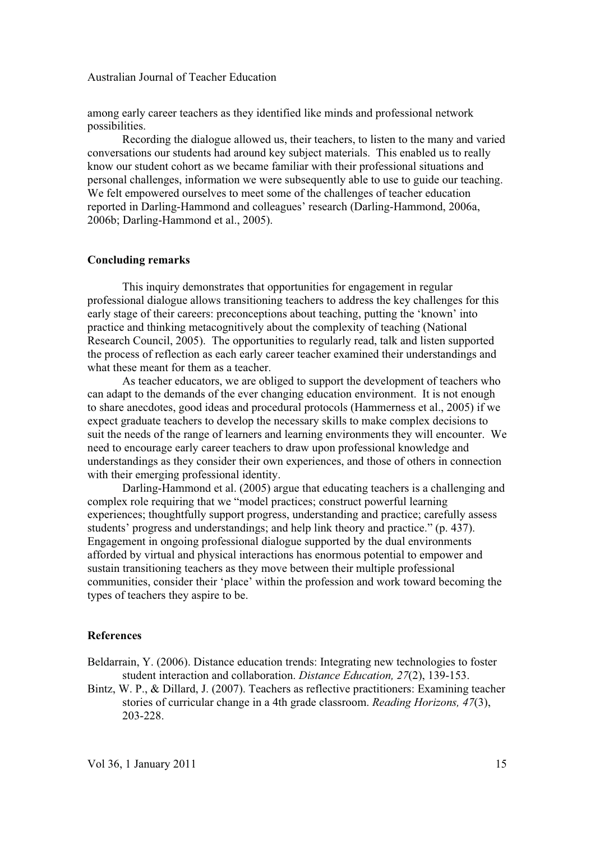among early career teachers as they identified like minds and professional network possibilities.

Recording the dialogue allowed us, their teachers, to listen to the many and varied conversations our students had around key subject materials. This enabled us to really know our student cohort as we became familiar with their professional situations and personal challenges, information we were subsequently able to use to guide our teaching. We felt empowered ourselves to meet some of the challenges of teacher education reported in Darling-Hammond and colleagues' research (Darling-Hammond, 2006a, 2006b; Darling-Hammond et al., 2005).

#### **Concluding remarks**

This inquiry demonstrates that opportunities for engagement in regular professional dialogue allows transitioning teachers to address the key challenges for this early stage of their careers: preconceptions about teaching, putting the 'known' into practice and thinking metacognitively about the complexity of teaching (National Research Council, 2005). The opportunities to regularly read, talk and listen supported the process of reflection as each early career teacher examined their understandings and what these meant for them as a teacher.

As teacher educators, we are obliged to support the development of teachers who can adapt to the demands of the ever changing education environment. It is not enough to share anecdotes, good ideas and procedural protocols (Hammerness et al., 2005) if we expect graduate teachers to develop the necessary skills to make complex decisions to suit the needs of the range of learners and learning environments they will encounter. We need to encourage early career teachers to draw upon professional knowledge and understandings as they consider their own experiences, and those of others in connection with their emerging professional identity.

Darling-Hammond et al. (2005) argue that educating teachers is a challenging and complex role requiring that we "model practices; construct powerful learning experiences; thoughtfully support progress, understanding and practice; carefully assess students' progress and understandings; and help link theory and practice." (p. 437). Engagement in ongoing professional dialogue supported by the dual environments afforded by virtual and physical interactions has enormous potential to empower and sustain transitioning teachers as they move between their multiple professional communities, consider their 'place' within the profession and work toward becoming the types of teachers they aspire to be.

#### **References**

Beldarrain, Y. (2006). Distance education trends: Integrating new technologies to foster student interaction and collaboration. *Distance Education, 27*(2), 139-153.

Bintz, W. P., & Dillard, J. (2007). Teachers as reflective practitioners: Examining teacher stories of curricular change in a 4th grade classroom. *Reading Horizons, 47*(3), 203-228.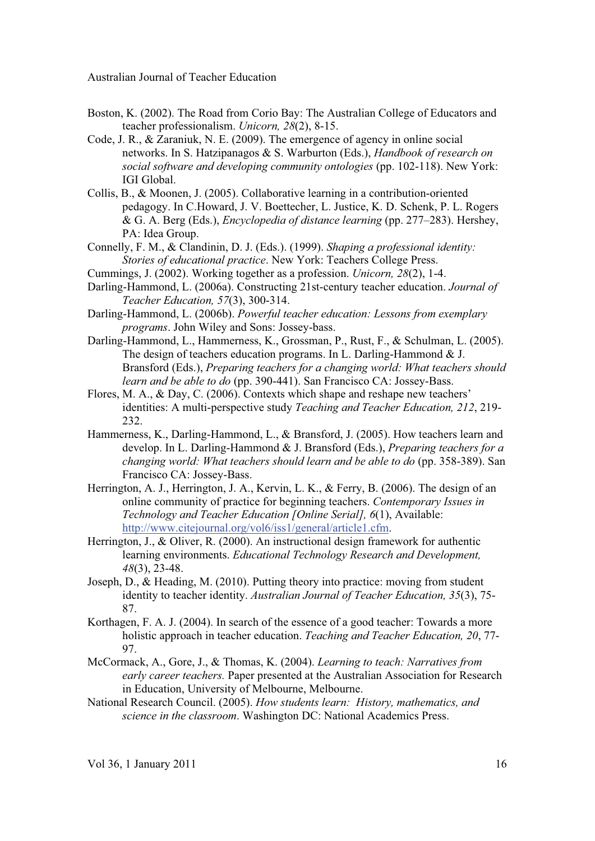- Boston, K. (2002). The Road from Corio Bay: The Australian College of Educators and teacher professionalism. *Unicorn, 28*(2), 8-15.
- Code, J. R., & Zaraniuk, N. E. (2009). The emergence of agency in online social networks. In S. Hatzipanagos & S. Warburton (Eds.), *Handbook of research on social software and developing community ontologies* (pp. 102-118). New York: IGI Global.
- Collis, B., & Moonen, J. (2005). Collaborative learning in a contribution-oriented pedagogy. In C.Howard, J. V. Boettecher, L. Justice, K. D. Schenk, P. L. Rogers & G. A. Berg (Eds.), *Encyclopedia of distance learning* (pp. 277–283). Hershey, PA: Idea Group.
- Connelly, F. M., & Clandinin, D. J. (Eds.). (1999). *Shaping a professional identity: Stories of educational practice*. New York: Teachers College Press.
- Cummings, J. (2002). Working together as a profession. *Unicorn, 28*(2), 1-4.
- Darling-Hammond, L. (2006a). Constructing 21st-century teacher education. *Journal of Teacher Education, 57*(3), 300-314.
- Darling-Hammond, L. (2006b). *Powerful teacher education: Lessons from exemplary programs*. John Wiley and Sons: Jossey-bass.
- Darling-Hammond, L., Hammerness, K., Grossman, P., Rust, F., & Schulman, L. (2005). The design of teachers education programs. In L. Darling-Hammond & J. Bransford (Eds.), *Preparing teachers for a changing world: What teachers should learn and be able to do* (pp. 390-441). San Francisco CA: Jossey-Bass.
- Flores, M. A., & Day, C. (2006). Contexts which shape and reshape new teachers' identities: A multi-perspective study *Teaching and Teacher Education, 212*, 219- 232.
- Hammerness, K., Darling-Hammond, L., & Bransford, J. (2005). How teachers learn and develop. In L. Darling-Hammond & J. Bransford (Eds.), *Preparing teachers for a changing world: What teachers should learn and be able to do* (pp. 358-389). San Francisco CA: Jossey-Bass.
- Herrington, A. J., Herrington, J. A., Kervin, L. K., & Ferry, B. (2006). The design of an online community of practice for beginning teachers. *Contemporary Issues in Technology and Teacher Education [Online Serial], 6*(1), Available: http://www.citejournal.org/vol6/iss1/general/article1.cfm.
- Herrington, J., & Oliver, R. (2000). An instructional design framework for authentic learning environments. *Educational Technology Research and Development, 48*(3), 23-48.
- Joseph, D., & Heading, M. (2010). Putting theory into practice: moving from student identity to teacher identity. *Australian Journal of Teacher Education, 35*(3), 75- 87.
- Korthagen, F. A. J. (2004). In search of the essence of a good teacher: Towards a more holistic approach in teacher education. *Teaching and Teacher Education, 20*, 77- 97.
- McCormack, A., Gore, J., & Thomas, K. (2004). *Learning to teach: Narratives from early career teachers.* Paper presented at the Australian Association for Research in Education, University of Melbourne, Melbourne.
- National Research Council. (2005). *How students learn: History, mathematics, and science in the classroom*. Washington DC: National Academics Press.